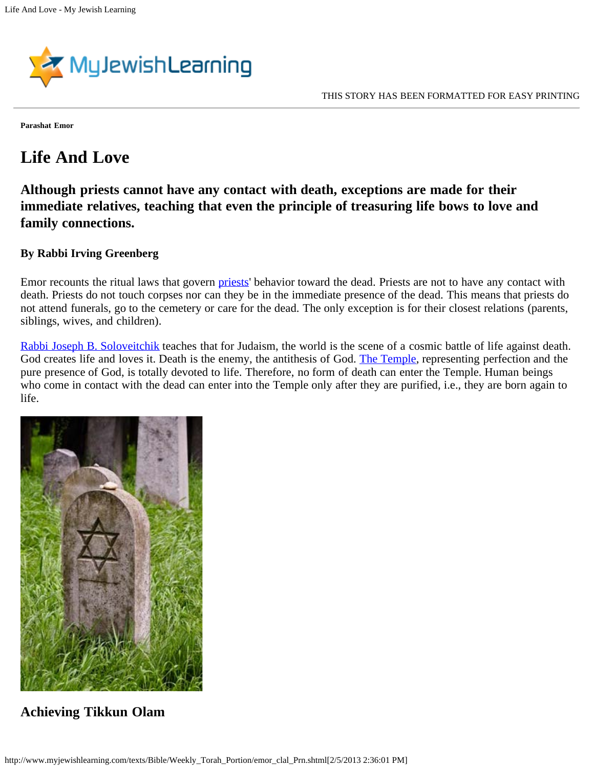

**Parashat Emor**

## **Life And Love**

**Although priests cannot have any contact with death, exceptions are made for their immediate relatives, teaching that even the principle of treasuring life bows to love and family connections.**

## **By Rabbi Irving Greenberg**

Emor recounts the ritual laws that govern *priests'* behavior toward the dead. Priests are not to have any contact with death. Priests do not touch corpses nor can they be in the immediate presence of the dead. This means that priests do not attend funerals, go to the cemetery or care for the dead. The only exception is for their closest relations (parents, siblings, wives, and children).

[Rabbi Joseph B. Soloveitchik](http://www.myjewishlearning.com/beliefs/Theology/Thinkers_and_Thought/Jewish_Philosophy/Philosophies/Modern/Joseph_Soloveitchik.shtml) teaches that for Judaism, the world is the scene of a cosmic battle of life against death. God creates life and loves it. Death is the enemy, the antithesis of God. [The Temple,](http://www.myjewishlearning.com/holidays/Jewish_Holidays/Tisha_BAv/Ideas_and_Beliefs/The_Temple.shtml) representing perfection and the pure presence of God, is totally devoted to life. Therefore, no form of death can enter the Temple. Human beings who come in contact with the dead can enter into the Temple only after they are purified, i.e., they are born again to life.



## **Achieving Tikkun Olam**